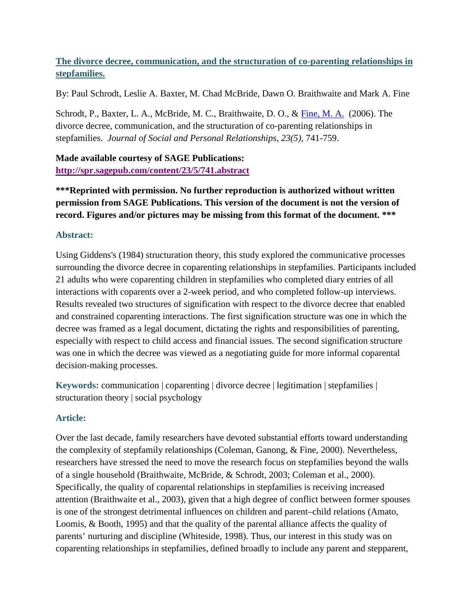# **The divorce decree, communication, and the structuration of co-parenting relationships in stepfamilies.**

By: Paul Schrodt, Leslie A. Baxter, M. Chad McBride, Dawn O. Braithwaite and Mark A. Fine

Schrodt, P., Baxter, L. A., McBride, M. C., Braithwaite, D. O., & [Fine, M. A.](http://libres.uncg.edu/ir/uncg/clist.aspx?id=4688) (2006). The divorce decree, communication, and the structuration of co-parenting relationships in stepfamilies. *Journal of Social and Personal Relationships, 23(5),* 741-759.

**Made available courtesy of SAGE Publications: <http://spr.sagepub.com/content/23/5/741.abstract>**

**\*\*\*Reprinted with permission. No further reproduction is authorized without written permission from SAGE Publications. This version of the document is not the version of record. Figures and/or pictures may be missing from this format of the document. \*\*\***

### **Abstract:**

Using Giddens's (1984) structuration theory, this study explored the communicative processes surrounding the divorce decree in coparenting relationships in stepfamilies. Participants included 21 adults who were coparenting children in stepfamilies who completed diary entries of all interactions with coparents over a 2-week period, and who completed follow-up interviews. Results revealed two structures of signification with respect to the divorce decree that enabled and constrained coparenting interactions. The first signification structure was one in which the decree was framed as a legal document, dictating the rights and responsibilities of parenting, especially with respect to child access and financial issues. The second signification structure was one in which the decree was viewed as a negotiating guide for more informal coparental decision-making processes.

**Keywords:** communication | coparenting | divorce decree | legitimation | stepfamilies | structuration theory | social psychology

## **Article:**

Over the last decade, family researchers have devoted substantial efforts toward understanding the complexity of stepfamily relationships (Coleman, Ganong, & Fine, 2000). Nevertheless, researchers have stressed the need to move the research focus on stepfamilies beyond the walls of a single household (Braithwaite, McBride, & Schrodt, 2003; Coleman et al., 2000). Specifically, the quality of coparental relationships in stepfamilies is receiving increased attention (Braithwaite et al., 2003), given that a high degree of conflict between former spouses is one of the strongest detrimental influences on children and parent–child relations (Amato, Loomis, & Booth, 1995) and that the quality of the parental alliance affects the quality of parents' nurturing and discipline (Whiteside, 1998). Thus, our interest in this study was on coparenting relationships in stepfamilies, defined broadly to include any parent and stepparent,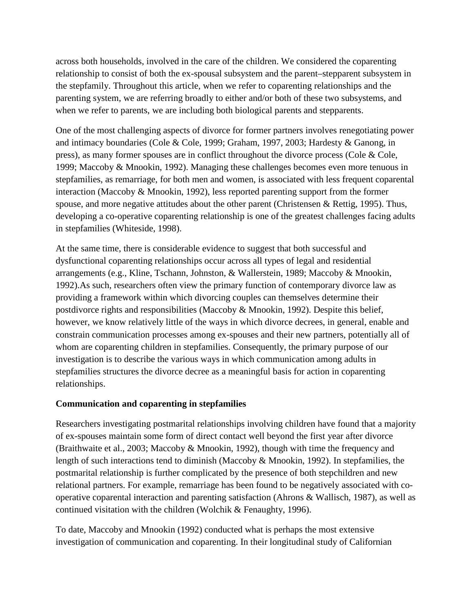across both households, involved in the care of the children. We considered the coparenting relationship to consist of both the ex-spousal subsystem and the parent–stepparent subsystem in the stepfamily. Throughout this article, when we refer to coparenting relationships and the parenting system, we are referring broadly to either and/or both of these two subsystems, and when we refer to parents, we are including both biological parents and stepparents.

One of the most challenging aspects of divorce for former partners involves renegotiating power and intimacy boundaries (Cole & Cole, 1999; Graham, 1997, 2003; Hardesty & Ganong, in press), as many former spouses are in conflict throughout the divorce process (Cole & Cole, 1999; Maccoby & Mnookin, 1992). Managing these challenges becomes even more tenuous in stepfamilies, as remarriage, for both men and women, is associated with less frequent coparental interaction (Maccoby & Mnookin, 1992), less reported parenting support from the former spouse, and more negative attitudes about the other parent (Christensen & Rettig, 1995). Thus, developing a co-operative coparenting relationship is one of the greatest challenges facing adults in stepfamilies (Whiteside, 1998).

At the same time, there is considerable evidence to suggest that both successful and dysfunctional coparenting relationships occur across all types of legal and residential arrangements (e.g., Kline, Tschann, Johnston, & Wallerstein, 1989; Maccoby & Mnookin, 1992).As such, researchers often view the primary function of contemporary divorce law as providing a framework within which divorcing couples can themselves determine their postdivorce rights and responsibilities (Maccoby & Mnookin, 1992). Despite this belief, however, we know relatively little of the ways in which divorce decrees, in general, enable and constrain communication processes among ex-spouses and their new partners, potentially all of whom are coparenting children in stepfamilies. Consequently, the primary purpose of our investigation is to describe the various ways in which communication among adults in stepfamilies structures the divorce decree as a meaningful basis for action in coparenting relationships.

### **Communication and coparenting in stepfamilies**

Researchers investigating postmarital relationships involving children have found that a majority of ex-spouses maintain some form of direct contact well beyond the first year after divorce (Braithwaite et al., 2003; Maccoby & Mnookin, 1992), though with time the frequency and length of such interactions tend to diminish (Maccoby & Mnookin, 1992). In stepfamilies, the postmarital relationship is further complicated by the presence of both stepchildren and new relational partners. For example, remarriage has been found to be negatively associated with cooperative coparental interaction and parenting satisfaction (Ahrons & Wallisch, 1987), as well as continued visitation with the children (Wolchik & Fenaughty, 1996).

To date, Maccoby and Mnookin (1992) conducted what is perhaps the most extensive investigation of communication and coparenting. In their longitudinal study of Californian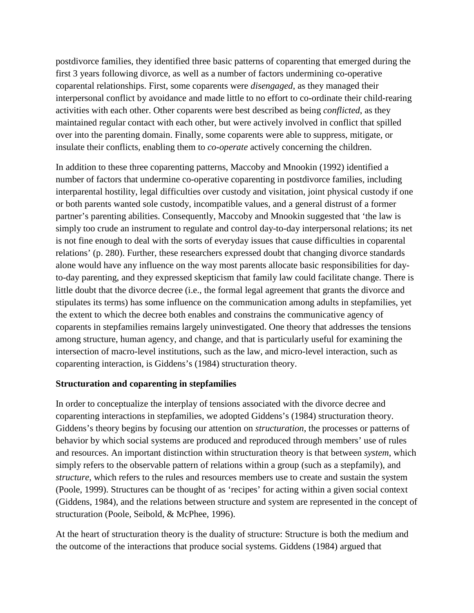postdivorce families, they identified three basic patterns of coparenting that emerged during the first 3 years following divorce, as well as a number of factors undermining co-operative coparental relationships. First, some coparents were *disengaged*, as they managed their interpersonal conflict by avoidance and made little to no effort to co-ordinate their child-rearing activities with each other. Other coparents were best described as being *conflicted*, as they maintained regular contact with each other, but were actively involved in conflict that spilled over into the parenting domain. Finally, some coparents were able to suppress, mitigate, or insulate their conflicts, enabling them to *co-operate* actively concerning the children.

In addition to these three coparenting patterns, Maccoby and Mnookin (1992) identified a number of factors that undermine co-operative coparenting in postdivorce families, including interparental hostility, legal difficulties over custody and visitation, joint physical custody if one or both parents wanted sole custody, incompatible values, and a general distrust of a former partner's parenting abilities. Consequently, Maccoby and Mnookin suggested that 'the law is simply too crude an instrument to regulate and control day-to-day interpersonal relations; its net is not fine enough to deal with the sorts of everyday issues that cause difficulties in coparental relations' (p. 280). Further, these researchers expressed doubt that changing divorce standards alone would have any influence on the way most parents allocate basic responsibilities for dayto-day parenting, and they expressed skepticism that family law could facilitate change. There is little doubt that the divorce decree (i.e., the formal legal agreement that grants the divorce and stipulates its terms) has some influence on the communication among adults in stepfamilies, yet the extent to which the decree both enables and constrains the communicative agency of coparents in stepfamilies remains largely uninvestigated. One theory that addresses the tensions among structure, human agency, and change, and that is particularly useful for examining the intersection of macro-level institutions, such as the law, and micro-level interaction, such as coparenting interaction, is Giddens's (1984) structuration theory.

### **Structuration and coparenting in stepfamilies**

In order to conceptualize the interplay of tensions associated with the divorce decree and coparenting interactions in stepfamilies, we adopted Giddens's (1984) structuration theory. Giddens's theory begins by focusing our attention on *structuration*, the processes or patterns of behavior by which social systems are produced and reproduced through members' use of rules and resources. An important distinction within structuration theory is that between *system*, which simply refers to the observable pattern of relations within a group (such as a stepfamily), and *structure*, which refers to the rules and resources members use to create and sustain the system (Poole, 1999). Structures can be thought of as 'recipes' for acting within a given social context (Giddens, 1984), and the relations between structure and system are represented in the concept of structuration (Poole, Seibold, & McPhee, 1996).

At the heart of structuration theory is the duality of structure: Structure is both the medium and the outcome of the interactions that produce social systems. Giddens (1984) argued that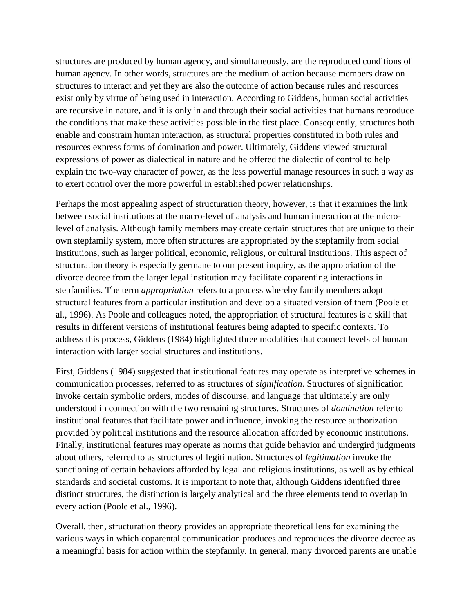structures are produced by human agency, and simultaneously, are the reproduced conditions of human agency. In other words, structures are the medium of action because members draw on structures to interact and yet they are also the outcome of action because rules and resources exist only by virtue of being used in interaction. According to Giddens, human social activities are recursive in nature, and it is only in and through their social activities that humans reproduce the conditions that make these activities possible in the first place. Consequently, structures both enable and constrain human interaction, as structural properties constituted in both rules and resources express forms of domination and power. Ultimately, Giddens viewed structural expressions of power as dialectical in nature and he offered the dialectic of control to help explain the two-way character of power, as the less powerful manage resources in such a way as to exert control over the more powerful in established power relationships.

Perhaps the most appealing aspect of structuration theory, however, is that it examines the link between social institutions at the macro-level of analysis and human interaction at the microlevel of analysis. Although family members may create certain structures that are unique to their own stepfamily system, more often structures are appropriated by the stepfamily from social institutions, such as larger political, economic, religious, or cultural institutions. This aspect of structuration theory is especially germane to our present inquiry, as the appropriation of the divorce decree from the larger legal institution may facilitate coparenting interactions in stepfamilies. The term *appropriation* refers to a process whereby family members adopt structural features from a particular institution and develop a situated version of them (Poole et al., 1996). As Poole and colleagues noted, the appropriation of structural features is a skill that results in different versions of institutional features being adapted to specific contexts. To address this process, Giddens (1984) highlighted three modalities that connect levels of human interaction with larger social structures and institutions.

First, Giddens (1984) suggested that institutional features may operate as interpretive schemes in communication processes, referred to as structures of *signification*. Structures of signification invoke certain symbolic orders, modes of discourse, and language that ultimately are only understood in connection with the two remaining structures. Structures of *domination* refer to institutional features that facilitate power and influence, invoking the resource authorization provided by political institutions and the resource allocation afforded by economic institutions. Finally, institutional features may operate as norms that guide behavior and undergird judgments about others, referred to as structures of legitimation. Structures of *legitimation* invoke the sanctioning of certain behaviors afforded by legal and religious institutions, as well as by ethical standards and societal customs. It is important to note that, although Giddens identified three distinct structures, the distinction is largely analytical and the three elements tend to overlap in every action (Poole et al., 1996).

Overall, then, structuration theory provides an appropriate theoretical lens for examining the various ways in which coparental communication produces and reproduces the divorce decree as a meaningful basis for action within the stepfamily. In general, many divorced parents are unable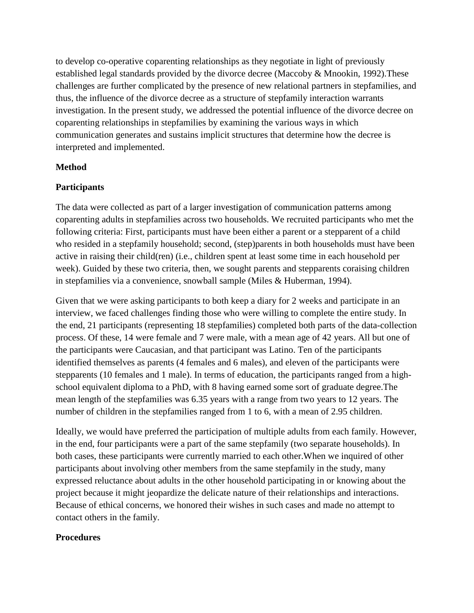to develop co-operative coparenting relationships as they negotiate in light of previously established legal standards provided by the divorce decree (Maccoby & Mnookin, 1992).These challenges are further complicated by the presence of new relational partners in stepfamilies, and thus, the influence of the divorce decree as a structure of stepfamily interaction warrants investigation. In the present study, we addressed the potential influence of the divorce decree on coparenting relationships in stepfamilies by examining the various ways in which communication generates and sustains implicit structures that determine how the decree is interpreted and implemented.

### **Method**

### **Participants**

The data were collected as part of a larger investigation of communication patterns among coparenting adults in stepfamilies across two households. We recruited participants who met the following criteria: First, participants must have been either a parent or a stepparent of a child who resided in a stepfamily household; second, (step)parents in both households must have been active in raising their child(ren) (i.e., children spent at least some time in each household per week). Guided by these two criteria, then, we sought parents and stepparents coraising children in stepfamilies via a convenience, snowball sample (Miles & Huberman, 1994).

Given that we were asking participants to both keep a diary for 2 weeks and participate in an interview, we faced challenges finding those who were willing to complete the entire study. In the end, 21 participants (representing 18 stepfamilies) completed both parts of the data-collection process. Of these, 14 were female and 7 were male, with a mean age of 42 years. All but one of the participants were Caucasian, and that participant was Latino. Ten of the participants identified themselves as parents (4 females and 6 males), and eleven of the participants were stepparents (10 females and 1 male). In terms of education, the participants ranged from a highschool equivalent diploma to a PhD, with 8 having earned some sort of graduate degree.The mean length of the stepfamilies was 6.35 years with a range from two years to 12 years. The number of children in the stepfamilies ranged from 1 to 6, with a mean of 2.95 children.

Ideally, we would have preferred the participation of multiple adults from each family. However, in the end, four participants were a part of the same stepfamily (two separate households). In both cases, these participants were currently married to each other.When we inquired of other participants about involving other members from the same stepfamily in the study, many expressed reluctance about adults in the other household participating in or knowing about the project because it might jeopardize the delicate nature of their relationships and interactions. Because of ethical concerns, we honored their wishes in such cases and made no attempt to contact others in the family.

### **Procedures**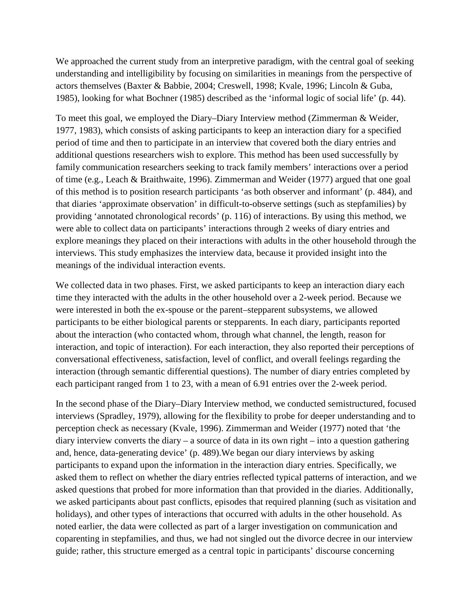We approached the current study from an interpretive paradigm, with the central goal of seeking understanding and intelligibility by focusing on similarities in meanings from the perspective of actors themselves (Baxter & Babbie, 2004; Creswell, 1998; Kvale, 1996; Lincoln & Guba, 1985), looking for what Bochner (1985) described as the 'informal logic of social life' (p. 44).

To meet this goal, we employed the Diary–Diary Interview method (Zimmerman & Weider, 1977, 1983), which consists of asking participants to keep an interaction diary for a specified period of time and then to participate in an interview that covered both the diary entries and additional questions researchers wish to explore. This method has been used successfully by family communication researchers seeking to track family members' interactions over a period of time (e.g., Leach & Braithwaite, 1996). Zimmerman and Weider (1977) argued that one goal of this method is to position research participants 'as both observer and informant' (p. 484), and that diaries 'approximate observation' in difficult-to-observe settings (such as stepfamilies) by providing 'annotated chronological records' (p. 116) of interactions. By using this method, we were able to collect data on participants' interactions through 2 weeks of diary entries and explore meanings they placed on their interactions with adults in the other household through the interviews. This study emphasizes the interview data, because it provided insight into the meanings of the individual interaction events.

We collected data in two phases. First, we asked participants to keep an interaction diary each time they interacted with the adults in the other household over a 2-week period. Because we were interested in both the ex-spouse or the parent–stepparent subsystems, we allowed participants to be either biological parents or stepparents. In each diary, participants reported about the interaction (who contacted whom, through what channel, the length, reason for interaction, and topic of interaction). For each interaction, they also reported their perceptions of conversational effectiveness, satisfaction, level of conflict, and overall feelings regarding the interaction (through semantic differential questions). The number of diary entries completed by each participant ranged from 1 to 23, with a mean of 6.91 entries over the 2-week period.

In the second phase of the Diary–Diary Interview method, we conducted semistructured, focused interviews (Spradley, 1979), allowing for the flexibility to probe for deeper understanding and to perception check as necessary (Kvale, 1996). Zimmerman and Weider (1977) noted that 'the diary interview converts the diary – a source of data in its own right – into a question gathering and, hence, data-generating device' (p. 489).We began our diary interviews by asking participants to expand upon the information in the interaction diary entries. Specifically, we asked them to reflect on whether the diary entries reflected typical patterns of interaction, and we asked questions that probed for more information than that provided in the diaries. Additionally, we asked participants about past conflicts, episodes that required planning (such as visitation and holidays), and other types of interactions that occurred with adults in the other household. As noted earlier, the data were collected as part of a larger investigation on communication and coparenting in stepfamilies, and thus, we had not singled out the divorce decree in our interview guide; rather, this structure emerged as a central topic in participants' discourse concerning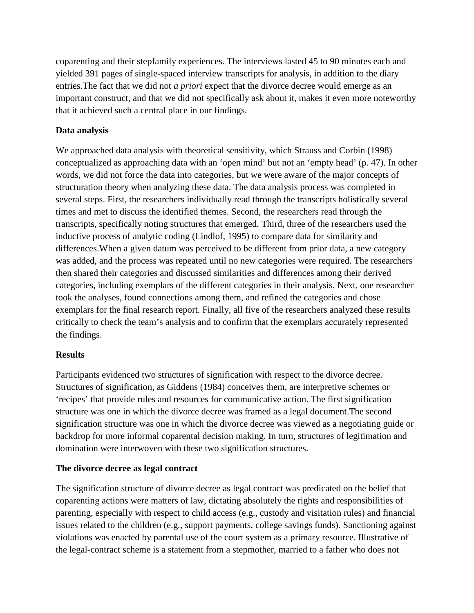coparenting and their stepfamily experiences. The interviews lasted 45 to 90 minutes each and yielded 391 pages of single-spaced interview transcripts for analysis, in addition to the diary entries.The fact that we did not *a priori* expect that the divorce decree would emerge as an important construct, and that we did not specifically ask about it, makes it even more noteworthy that it achieved such a central place in our findings.

### **Data analysis**

We approached data analysis with theoretical sensitivity, which Strauss and Corbin (1998) conceptualized as approaching data with an 'open mind' but not an 'empty head' (p. 47). In other words, we did not force the data into categories, but we were aware of the major concepts of structuration theory when analyzing these data. The data analysis process was completed in several steps. First, the researchers individually read through the transcripts holistically several times and met to discuss the identified themes. Second, the researchers read through the transcripts, specifically noting structures that emerged. Third, three of the researchers used the inductive process of analytic coding (Lindlof, 1995) to compare data for similarity and differences.When a given datum was perceived to be different from prior data, a new category was added, and the process was repeated until no new categories were required. The researchers then shared their categories and discussed similarities and differences among their derived categories, including exemplars of the different categories in their analysis. Next, one researcher took the analyses, found connections among them, and refined the categories and chose exemplars for the final research report. Finally, all five of the researchers analyzed these results critically to check the team's analysis and to confirm that the exemplars accurately represented the findings.

#### **Results**

Participants evidenced two structures of signification with respect to the divorce decree. Structures of signification, as Giddens (1984) conceives them, are interpretive schemes or 'recipes' that provide rules and resources for communicative action. The first signification structure was one in which the divorce decree was framed as a legal document.The second signification structure was one in which the divorce decree was viewed as a negotiating guide or backdrop for more informal coparental decision making. In turn, structures of legitimation and domination were interwoven with these two signification structures.

#### **The divorce decree as legal contract**

The signification structure of divorce decree as legal contract was predicated on the belief that coparenting actions were matters of law, dictating absolutely the rights and responsibilities of parenting, especially with respect to child access (e.g., custody and visitation rules) and financial issues related to the children (e.g., support payments, college savings funds). Sanctioning against violations was enacted by parental use of the court system as a primary resource. Illustrative of the legal-contract scheme is a statement from a stepmother, married to a father who does not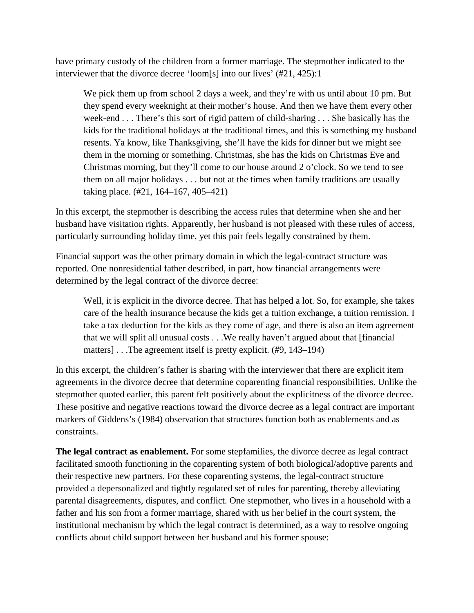have primary custody of the children from a former marriage. The stepmother indicated to the interviewer that the divorce decree 'loom[s] into our lives' (#21, 425):1

We pick them up from school 2 days a week, and they're with us until about 10 pm. But they spend every weeknight at their mother's house. And then we have them every other week-end . . . There's this sort of rigid pattern of child-sharing . . . She basically has the kids for the traditional holidays at the traditional times, and this is something my husband resents. Ya know, like Thanksgiving, she'll have the kids for dinner but we might see them in the morning or something. Christmas, she has the kids on Christmas Eve and Christmas morning, but they'll come to our house around 2 o'clock. So we tend to see them on all major holidays . . . but not at the times when family traditions are usually taking place. (#21, 164–167, 405–421)

In this excerpt, the stepmother is describing the access rules that determine when she and her husband have visitation rights. Apparently, her husband is not pleased with these rules of access, particularly surrounding holiday time, yet this pair feels legally constrained by them.

Financial support was the other primary domain in which the legal-contract structure was reported. One nonresidential father described, in part, how financial arrangements were determined by the legal contract of the divorce decree:

Well, it is explicit in the divorce decree. That has helped a lot. So, for example, she takes care of the health insurance because the kids get a tuition exchange, a tuition remission. I take a tax deduction for the kids as they come of age, and there is also an item agreement that we will split all unusual costs . . .We really haven't argued about that [financial matters] . . .The agreement itself is pretty explicit. (#9, 143–194)

In this excerpt, the children's father is sharing with the interviewer that there are explicit item agreements in the divorce decree that determine coparenting financial responsibilities. Unlike the stepmother quoted earlier, this parent felt positively about the explicitness of the divorce decree. These positive and negative reactions toward the divorce decree as a legal contract are important markers of Giddens's (1984) observation that structures function both as enablements and as constraints.

**The legal contract as enablement.** For some stepfamilies, the divorce decree as legal contract facilitated smooth functioning in the coparenting system of both biological/adoptive parents and their respective new partners. For these coparenting systems, the legal-contract structure provided a depersonalized and tightly regulated set of rules for parenting, thereby alleviating parental disagreements, disputes, and conflict. One stepmother, who lives in a household with a father and his son from a former marriage, shared with us her belief in the court system, the institutional mechanism by which the legal contract is determined, as a way to resolve ongoing conflicts about child support between her husband and his former spouse: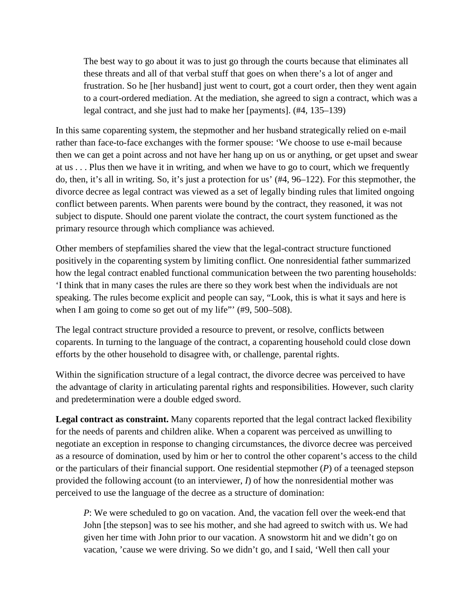The best way to go about it was to just go through the courts because that eliminates all these threats and all of that verbal stuff that goes on when there's a lot of anger and frustration. So he [her husband] just went to court, got a court order, then they went again to a court-ordered mediation. At the mediation, she agreed to sign a contract, which was a legal contract, and she just had to make her [payments]. (#4, 135–139)

In this same coparenting system, the stepmother and her husband strategically relied on e-mail rather than face-to-face exchanges with the former spouse: 'We choose to use e-mail because then we can get a point across and not have her hang up on us or anything, or get upset and swear at us . . . Plus then we have it in writing, and when we have to go to court, which we frequently do, then, it's all in writing. So, it's just a protection for us' (#4, 96–122). For this stepmother, the divorce decree as legal contract was viewed as a set of legally binding rules that limited ongoing conflict between parents. When parents were bound by the contract, they reasoned, it was not subject to dispute. Should one parent violate the contract, the court system functioned as the primary resource through which compliance was achieved.

Other members of stepfamilies shared the view that the legal-contract structure functioned positively in the coparenting system by limiting conflict. One nonresidential father summarized how the legal contract enabled functional communication between the two parenting households: 'I think that in many cases the rules are there so they work best when the individuals are not speaking. The rules become explicit and people can say, "Look, this is what it says and here is when I am going to come so get out of my life" (#9, 500–508).

The legal contract structure provided a resource to prevent, or resolve, conflicts between coparents. In turning to the language of the contract, a coparenting household could close down efforts by the other household to disagree with, or challenge, parental rights.

Within the signification structure of a legal contract, the divorce decree was perceived to have the advantage of clarity in articulating parental rights and responsibilities. However, such clarity and predetermination were a double edged sword.

**Legal contract as constraint.** Many coparents reported that the legal contract lacked flexibility for the needs of parents and children alike. When a coparent was perceived as unwilling to negotiate an exception in response to changing circumstances, the divorce decree was perceived as a resource of domination, used by him or her to control the other coparent's access to the child or the particulars of their financial support. One residential stepmother (*P*) of a teenaged stepson provided the following account (to an interviewer, *I*) of how the nonresidential mother was perceived to use the language of the decree as a structure of domination:

*P*: We were scheduled to go on vacation. And, the vacation fell over the week-end that John [the stepson] was to see his mother, and she had agreed to switch with us. We had given her time with John prior to our vacation. A snowstorm hit and we didn't go on vacation, 'cause we were driving. So we didn't go, and I said, 'Well then call your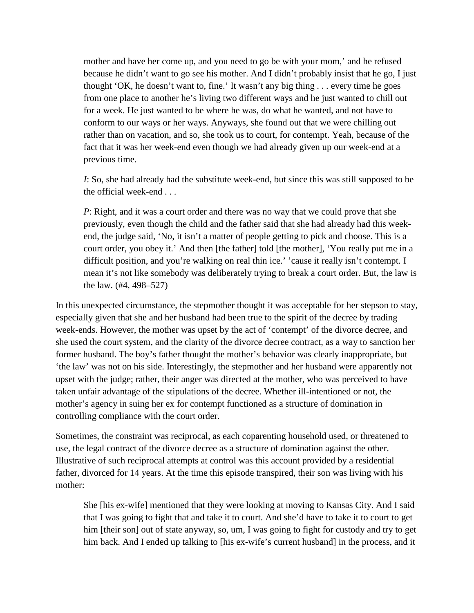mother and have her come up, and you need to go be with your mom,' and he refused because he didn't want to go see his mother. And I didn't probably insist that he go, I just thought 'OK, he doesn't want to, fine.' It wasn't any big thing . . . every time he goes from one place to another he's living two different ways and he just wanted to chill out for a week. He just wanted to be where he was, do what he wanted, and not have to conform to our ways or her ways. Anyways, she found out that we were chilling out rather than on vacation, and so, she took us to court, for contempt. Yeah, because of the fact that it was her week-end even though we had already given up our week-end at a previous time.

*I*: So, she had already had the substitute week-end, but since this was still supposed to be the official week-end . . .

*P*: Right, and it was a court order and there was no way that we could prove that she previously, even though the child and the father said that she had already had this weekend, the judge said, 'No, it isn't a matter of people getting to pick and choose. This is a court order, you obey it.' And then [the father] told [the mother], 'You really put me in a difficult position, and you're walking on real thin ice.' 'cause it really isn't contempt. I mean it's not like somebody was deliberately trying to break a court order. But, the law is the law. (#4, 498–527)

In this unexpected circumstance, the stepmother thought it was acceptable for her stepson to stay, especially given that she and her husband had been true to the spirit of the decree by trading week-ends. However, the mother was upset by the act of 'contempt' of the divorce decree, and she used the court system, and the clarity of the divorce decree contract, as a way to sanction her former husband. The boy's father thought the mother's behavior was clearly inappropriate, but 'the law' was not on his side. Interestingly, the stepmother and her husband were apparently not upset with the judge; rather, their anger was directed at the mother, who was perceived to have taken unfair advantage of the stipulations of the decree. Whether ill-intentioned or not, the mother's agency in suing her ex for contempt functioned as a structure of domination in controlling compliance with the court order.

Sometimes, the constraint was reciprocal, as each coparenting household used, or threatened to use, the legal contract of the divorce decree as a structure of domination against the other. Illustrative of such reciprocal attempts at control was this account provided by a residential father, divorced for 14 years. At the time this episode transpired, their son was living with his mother:

She [his ex-wife] mentioned that they were looking at moving to Kansas City. And I said that I was going to fight that and take it to court. And she'd have to take it to court to get him [their son] out of state anyway, so, um, I was going to fight for custody and try to get him back. And I ended up talking to [his ex-wife's current husband] in the process, and it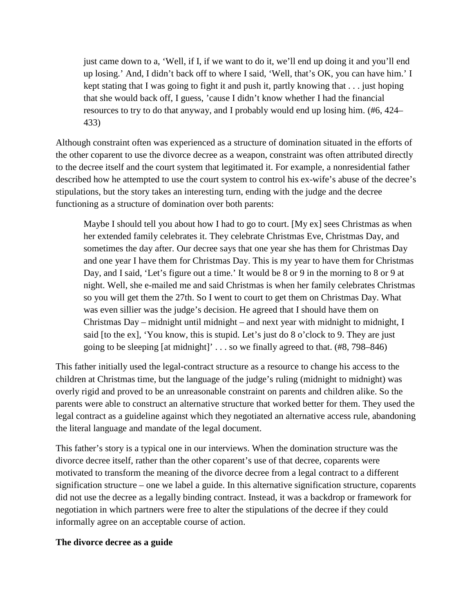just came down to a, 'Well, if I, if we want to do it, we'll end up doing it and you'll end up losing.' And, I didn't back off to where I said, 'Well, that's OK, you can have him.' I kept stating that I was going to fight it and push it, partly knowing that . . . just hoping that she would back off, I guess, 'cause I didn't know whether I had the financial resources to try to do that anyway, and I probably would end up losing him. (#6, 424– 433)

Although constraint often was experienced as a structure of domination situated in the efforts of the other coparent to use the divorce decree as a weapon, constraint was often attributed directly to the decree itself and the court system that legitimated it. For example, a nonresidential father described how he attempted to use the court system to control his ex-wife's abuse of the decree's stipulations, but the story takes an interesting turn, ending with the judge and the decree functioning as a structure of domination over both parents:

Maybe I should tell you about how I had to go to court. [My ex] sees Christmas as when her extended family celebrates it. They celebrate Christmas Eve, Christmas Day, and sometimes the day after. Our decree says that one year she has them for Christmas Day and one year I have them for Christmas Day. This is my year to have them for Christmas Day, and I said, 'Let's figure out a time.' It would be 8 or 9 in the morning to 8 or 9 at night. Well, she e-mailed me and said Christmas is when her family celebrates Christmas so you will get them the 27th. So I went to court to get them on Christmas Day. What was even sillier was the judge's decision. He agreed that I should have them on Christmas Day – midnight until midnight – and next year with midnight to midnight, I said [to the ex], 'You know, this is stupid. Let's just do 8 o'clock to 9. They are just going to be sleeping [at midnight]' . . . so we finally agreed to that. (#8, 798–846)

This father initially used the legal-contract structure as a resource to change his access to the children at Christmas time, but the language of the judge's ruling (midnight to midnight) was overly rigid and proved to be an unreasonable constraint on parents and children alike. So the parents were able to construct an alternative structure that worked better for them. They used the legal contract as a guideline against which they negotiated an alternative access rule, abandoning the literal language and mandate of the legal document.

This father's story is a typical one in our interviews. When the domination structure was the divorce decree itself, rather than the other coparent's use of that decree, coparents were motivated to transform the meaning of the divorce decree from a legal contract to a different signification structure – one we label a guide. In this alternative signification structure, coparents did not use the decree as a legally binding contract. Instead, it was a backdrop or framework for negotiation in which partners were free to alter the stipulations of the decree if they could informally agree on an acceptable course of action.

#### **The divorce decree as a guide**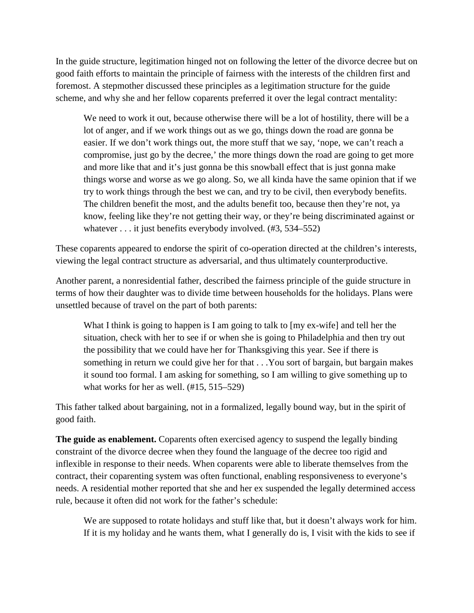In the guide structure, legitimation hinged not on following the letter of the divorce decree but on good faith efforts to maintain the principle of fairness with the interests of the children first and foremost. A stepmother discussed these principles as a legitimation structure for the guide scheme, and why she and her fellow coparents preferred it over the legal contract mentality:

We need to work it out, because otherwise there will be a lot of hostility, there will be a lot of anger, and if we work things out as we go, things down the road are gonna be easier. If we don't work things out, the more stuff that we say, 'nope, we can't reach a compromise, just go by the decree,' the more things down the road are going to get more and more like that and it's just gonna be this snowball effect that is just gonna make things worse and worse as we go along. So, we all kinda have the same opinion that if we try to work things through the best we can, and try to be civil, then everybody benefits. The children benefit the most, and the adults benefit too, because then they're not, ya know, feeling like they're not getting their way, or they're being discriminated against or whatever . . . it just benefits everybody involved. (#3, 534–552)

These coparents appeared to endorse the spirit of co-operation directed at the children's interests, viewing the legal contract structure as adversarial, and thus ultimately counterproductive.

Another parent, a nonresidential father, described the fairness principle of the guide structure in terms of how their daughter was to divide time between households for the holidays. Plans were unsettled because of travel on the part of both parents:

What I think is going to happen is I am going to talk to [my ex-wife] and tell her the situation, check with her to see if or when she is going to Philadelphia and then try out the possibility that we could have her for Thanksgiving this year. See if there is something in return we could give her for that . . .You sort of bargain, but bargain makes it sound too formal. I am asking for something, so I am willing to give something up to what works for her as well. (#15, 515–529)

This father talked about bargaining, not in a formalized, legally bound way, but in the spirit of good faith.

**The guide as enablement.** Coparents often exercised agency to suspend the legally binding constraint of the divorce decree when they found the language of the decree too rigid and inflexible in response to their needs. When coparents were able to liberate themselves from the contract, their coparenting system was often functional, enabling responsiveness to everyone's needs. A residential mother reported that she and her ex suspended the legally determined access rule, because it often did not work for the father's schedule:

We are supposed to rotate holidays and stuff like that, but it doesn't always work for him. If it is my holiday and he wants them, what I generally do is, I visit with the kids to see if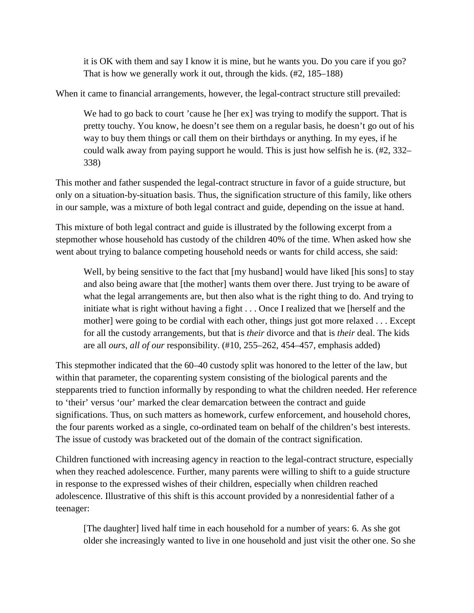it is OK with them and say I know it is mine, but he wants you. Do you care if you go? That is how we generally work it out, through the kids. (#2, 185–188)

When it came to financial arrangements, however, the legal-contract structure still prevailed:

We had to go back to court 'cause he [her ex] was trying to modify the support. That is pretty touchy. You know, he doesn't see them on a regular basis, he doesn't go out of his way to buy them things or call them on their birthdays or anything. In my eyes, if he could walk away from paying support he would. This is just how selfish he is. (#2, 332– 338)

This mother and father suspended the legal-contract structure in favor of a guide structure, but only on a situation-by-situation basis. Thus, the signification structure of this family, like others in our sample, was a mixture of both legal contract and guide, depending on the issue at hand.

This mixture of both legal contract and guide is illustrated by the following excerpt from a stepmother whose household has custody of the children 40% of the time. When asked how she went about trying to balance competing household needs or wants for child access, she said:

Well, by being sensitive to the fact that [my husband] would have liked [his sons] to stay and also being aware that [the mother] wants them over there. Just trying to be aware of what the legal arrangements are, but then also what is the right thing to do. And trying to initiate what is right without having a fight . . . Once I realized that we [herself and the mother] were going to be cordial with each other, things just got more relaxed . . . Except for all the custody arrangements, but that is *their* divorce and that is *their* deal. The kids are all *ours*, *all of our* responsibility. (#10, 255–262, 454–457, emphasis added)

This stepmother indicated that the 60–40 custody split was honored to the letter of the law, but within that parameter, the coparenting system consisting of the biological parents and the stepparents tried to function informally by responding to what the children needed. Her reference to 'their' versus 'our' marked the clear demarcation between the contract and guide significations. Thus, on such matters as homework, curfew enforcement, and household chores, the four parents worked as a single, co-ordinated team on behalf of the children's best interests. The issue of custody was bracketed out of the domain of the contract signification.

Children functioned with increasing agency in reaction to the legal-contract structure, especially when they reached adolescence. Further, many parents were willing to shift to a guide structure in response to the expressed wishes of their children, especially when children reached adolescence. Illustrative of this shift is this account provided by a nonresidential father of a teenager:

[The daughter] lived half time in each household for a number of years: 6. As she got older she increasingly wanted to live in one household and just visit the other one. So she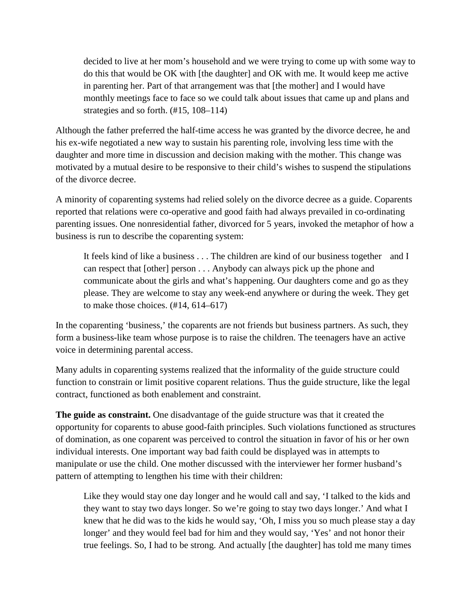decided to live at her mom's household and we were trying to come up with some way to do this that would be OK with [the daughter] and OK with me. It would keep me active in parenting her. Part of that arrangement was that [the mother] and I would have monthly meetings face to face so we could talk about issues that came up and plans and strategies and so forth. (#15, 108–114)

Although the father preferred the half-time access he was granted by the divorce decree, he and his ex-wife negotiated a new way to sustain his parenting role, involving less time with the daughter and more time in discussion and decision making with the mother. This change was motivated by a mutual desire to be responsive to their child's wishes to suspend the stipulations of the divorce decree.

A minority of coparenting systems had relied solely on the divorce decree as a guide. Coparents reported that relations were co-operative and good faith had always prevailed in co-ordinating parenting issues. One nonresidential father, divorced for 5 years, invoked the metaphor of how a business is run to describe the coparenting system:

It feels kind of like a business . . . The children are kind of our business together and I can respect that [other] person . . . Anybody can always pick up the phone and communicate about the girls and what's happening. Our daughters come and go as they please. They are welcome to stay any week-end anywhere or during the week. They get to make those choices. (#14, 614–617)

In the coparenting 'business,' the coparents are not friends but business partners. As such, they form a business-like team whose purpose is to raise the children. The teenagers have an active voice in determining parental access.

Many adults in coparenting systems realized that the informality of the guide structure could function to constrain or limit positive coparent relations. Thus the guide structure, like the legal contract, functioned as both enablement and constraint.

**The guide as constraint.** One disadvantage of the guide structure was that it created the opportunity for coparents to abuse good-faith principles. Such violations functioned as structures of domination, as one coparent was perceived to control the situation in favor of his or her own individual interests. One important way bad faith could be displayed was in attempts to manipulate or use the child. One mother discussed with the interviewer her former husband's pattern of attempting to lengthen his time with their children:

Like they would stay one day longer and he would call and say, 'I talked to the kids and they want to stay two days longer. So we're going to stay two days longer.' And what I knew that he did was to the kids he would say, 'Oh, I miss you so much please stay a day longer' and they would feel bad for him and they would say, 'Yes' and not honor their true feelings. So, I had to be strong. And actually [the daughter] has told me many times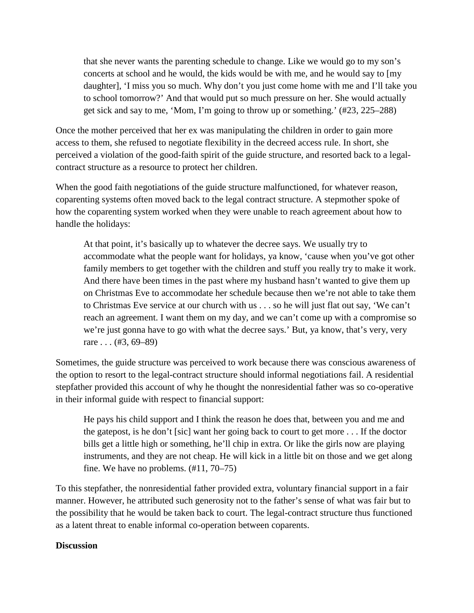that she never wants the parenting schedule to change. Like we would go to my son's concerts at school and he would, the kids would be with me, and he would say to [my daughter], 'I miss you so much. Why don't you just come home with me and I'll take you to school tomorrow?' And that would put so much pressure on her. She would actually get sick and say to me, 'Mom, I'm going to throw up or something.' (#23, 225–288)

Once the mother perceived that her ex was manipulating the children in order to gain more access to them, she refused to negotiate flexibility in the decreed access rule. In short, she perceived a violation of the good-faith spirit of the guide structure, and resorted back to a legalcontract structure as a resource to protect her children.

When the good faith negotiations of the guide structure malfunctioned, for whatever reason, coparenting systems often moved back to the legal contract structure. A stepmother spoke of how the coparenting system worked when they were unable to reach agreement about how to handle the holidays:

At that point, it's basically up to whatever the decree says. We usually try to accommodate what the people want for holidays, ya know, 'cause when you've got other family members to get together with the children and stuff you really try to make it work. And there have been times in the past where my husband hasn't wanted to give them up on Christmas Eve to accommodate her schedule because then we're not able to take them to Christmas Eve service at our church with us . . . so he will just flat out say, 'We can't reach an agreement. I want them on my day, and we can't come up with a compromise so we're just gonna have to go with what the decree says.' But, ya know, that's very, very rare . . . (#3, 69–89)

Sometimes, the guide structure was perceived to work because there was conscious awareness of the option to resort to the legal-contract structure should informal negotiations fail. A residential stepfather provided this account of why he thought the nonresidential father was so co-operative in their informal guide with respect to financial support:

He pays his child support and I think the reason he does that, between you and me and the gatepost, is he don't [sic] want her going back to court to get more . . . If the doctor bills get a little high or something, he'll chip in extra. Or like the girls now are playing instruments, and they are not cheap. He will kick in a little bit on those and we get along fine. We have no problems. (#11, 70–75)

To this stepfather, the nonresidential father provided extra, voluntary financial support in a fair manner. However, he attributed such generosity not to the father's sense of what was fair but to the possibility that he would be taken back to court. The legal-contract structure thus functioned as a latent threat to enable informal co-operation between coparents.

#### **Discussion**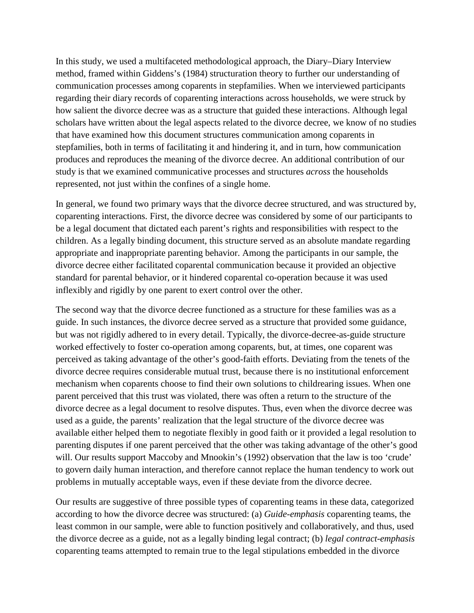In this study, we used a multifaceted methodological approach, the Diary–Diary Interview method, framed within Giddens's (1984) structuration theory to further our understanding of communication processes among coparents in stepfamilies. When we interviewed participants regarding their diary records of coparenting interactions across households, we were struck by how salient the divorce decree was as a structure that guided these interactions. Although legal scholars have written about the legal aspects related to the divorce decree, we know of no studies that have examined how this document structures communication among coparents in stepfamilies, both in terms of facilitating it and hindering it, and in turn, how communication produces and reproduces the meaning of the divorce decree. An additional contribution of our study is that we examined communicative processes and structures *across* the households represented, not just within the confines of a single home.

In general, we found two primary ways that the divorce decree structured, and was structured by, coparenting interactions. First, the divorce decree was considered by some of our participants to be a legal document that dictated each parent's rights and responsibilities with respect to the children. As a legally binding document, this structure served as an absolute mandate regarding appropriate and inappropriate parenting behavior. Among the participants in our sample, the divorce decree either facilitated coparental communication because it provided an objective standard for parental behavior, or it hindered coparental co-operation because it was used inflexibly and rigidly by one parent to exert control over the other.

The second way that the divorce decree functioned as a structure for these families was as a guide. In such instances, the divorce decree served as a structure that provided some guidance, but was not rigidly adhered to in every detail. Typically, the divorce-decree-as-guide structure worked effectively to foster co-operation among coparents, but, at times, one coparent was perceived as taking advantage of the other's good-faith efforts. Deviating from the tenets of the divorce decree requires considerable mutual trust, because there is no institutional enforcement mechanism when coparents choose to find their own solutions to childrearing issues. When one parent perceived that this trust was violated, there was often a return to the structure of the divorce decree as a legal document to resolve disputes. Thus, even when the divorce decree was used as a guide, the parents' realization that the legal structure of the divorce decree was available either helped them to negotiate flexibly in good faith or it provided a legal resolution to parenting disputes if one parent perceived that the other was taking advantage of the other's good will. Our results support Maccoby and Mnookin's (1992) observation that the law is too 'crude' to govern daily human interaction, and therefore cannot replace the human tendency to work out problems in mutually acceptable ways, even if these deviate from the divorce decree.

Our results are suggestive of three possible types of coparenting teams in these data, categorized according to how the divorce decree was structured: (a) *Guide-emphasis* coparenting teams, the least common in our sample, were able to function positively and collaboratively, and thus, used the divorce decree as a guide, not as a legally binding legal contract; (b) *legal contract-emphasis*  coparenting teams attempted to remain true to the legal stipulations embedded in the divorce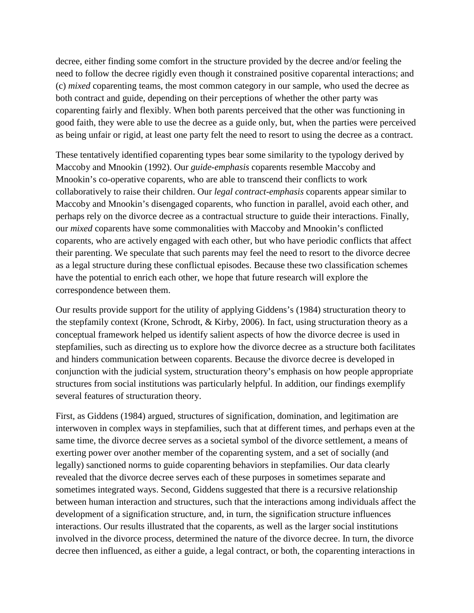decree, either finding some comfort in the structure provided by the decree and/or feeling the need to follow the decree rigidly even though it constrained positive coparental interactions; and (c) *mixed* coparenting teams, the most common category in our sample, who used the decree as both contract and guide, depending on their perceptions of whether the other party was coparenting fairly and flexibly. When both parents perceived that the other was functioning in good faith, they were able to use the decree as a guide only, but, when the parties were perceived as being unfair or rigid, at least one party felt the need to resort to using the decree as a contract.

These tentatively identified coparenting types bear some similarity to the typology derived by Maccoby and Mnookin (1992). Our *guide-emphasis* coparents resemble Maccoby and Mnookin's co-operative coparents, who are able to transcend their conflicts to work collaboratively to raise their children. Our *legal contract-emphasis* coparents appear similar to Maccoby and Mnookin's disengaged coparents, who function in parallel, avoid each other, and perhaps rely on the divorce decree as a contractual structure to guide their interactions. Finally, our *mixed* coparents have some commonalities with Maccoby and Mnookin's conflicted coparents, who are actively engaged with each other, but who have periodic conflicts that affect their parenting. We speculate that such parents may feel the need to resort to the divorce decree as a legal structure during these conflictual episodes. Because these two classification schemes have the potential to enrich each other, we hope that future research will explore the correspondence between them.

Our results provide support for the utility of applying Giddens's (1984) structuration theory to the stepfamily context (Krone, Schrodt, & Kirby, 2006). In fact, using structuration theory as a conceptual framework helped us identify salient aspects of how the divorce decree is used in stepfamilies, such as directing us to explore how the divorce decree as a structure both facilitates and hinders communication between coparents. Because the divorce decree is developed in conjunction with the judicial system, structuration theory's emphasis on how people appropriate structures from social institutions was particularly helpful. In addition, our findings exemplify several features of structuration theory.

First, as Giddens (1984) argued, structures of signification, domination, and legitimation are interwoven in complex ways in stepfamilies, such that at different times, and perhaps even at the same time, the divorce decree serves as a societal symbol of the divorce settlement, a means of exerting power over another member of the coparenting system, and a set of socially (and legally) sanctioned norms to guide coparenting behaviors in stepfamilies. Our data clearly revealed that the divorce decree serves each of these purposes in sometimes separate and sometimes integrated ways. Second, Giddens suggested that there is a recursive relationship between human interaction and structures, such that the interactions among individuals affect the development of a signification structure, and, in turn, the signification structure influences interactions. Our results illustrated that the coparents, as well as the larger social institutions involved in the divorce process, determined the nature of the divorce decree. In turn, the divorce decree then influenced, as either a guide, a legal contract, or both, the coparenting interactions in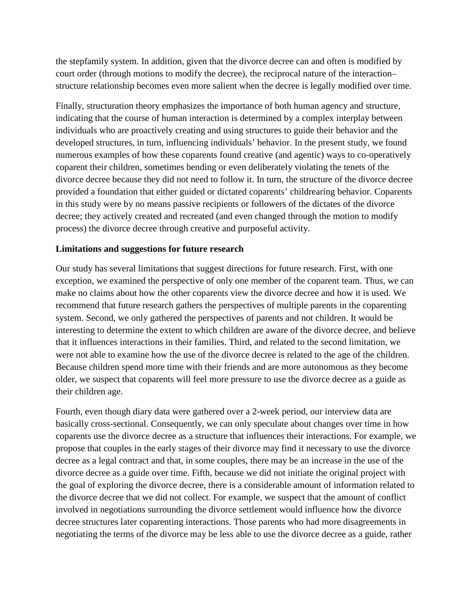the stepfamily system. In addition, given that the divorce decree can and often is modified by court order (through motions to modify the decree), the reciprocal nature of the interaction– structure relationship becomes even more salient when the decree is legally modified over time.

Finally, structuration theory emphasizes the importance of both human agency and structure, indicating that the course of human interaction is determined by a complex interplay between individuals who are proactively creating and using structures to guide their behavior and the developed structures, in turn, influencing individuals' behavior. In the present study, we found numerous examples of how these coparents found creative (and agentic) ways to co-operatively coparent their children, sometimes bending or even deliberately violating the tenets of the divorce decree because they did not need to follow it. In turn, the structure of the divorce decree provided a foundation that either guided or dictated coparents' childrearing behavior. Coparents in this study were by no means passive recipients or followers of the dictates of the divorce decree; they actively created and recreated (and even changed through the motion to modify process) the divorce decree through creative and purposeful activity.

#### **Limitations and suggestions for future research**

Our study has several limitations that suggest directions for future research. First, with one exception, we examined the perspective of only one member of the coparent team. Thus, we can make no claims about how the other coparents view the divorce decree and how it is used. We recommend that future research gathers the perspectives of multiple parents in the coparenting system. Second, we only gathered the perspectives of parents and not children. It would be interesting to determine the extent to which children are aware of the divorce decree, and believe that it influences interactions in their families. Third, and related to the second limitation, we were not able to examine how the use of the divorce decree is related to the age of the children. Because children spend more time with their friends and are more autonomous as they become older, we suspect that coparents will feel more pressure to use the divorce decree as a guide as their children age.

Fourth, even though diary data were gathered over a 2-week period, our interview data are basically cross-sectional. Consequently, we can only speculate about changes over time in how coparents use the divorce decree as a structure that influences their interactions. For example, we propose that couples in the early stages of their divorce may find it necessary to use the divorce decree as a legal contract and that, in some couples, there may be an increase in the use of the divorce decree as a guide over time. Fifth, because we did not initiate the original project with the goal of exploring the divorce decree, there is a considerable amount of information related to the divorce decree that we did not collect. For example, we suspect that the amount of conflict involved in negotiations surrounding the divorce settlement would influence how the divorce decree structures later coparenting interactions. Those parents who had more disagreements in negotiating the terms of the divorce may be less able to use the divorce decree as a guide, rather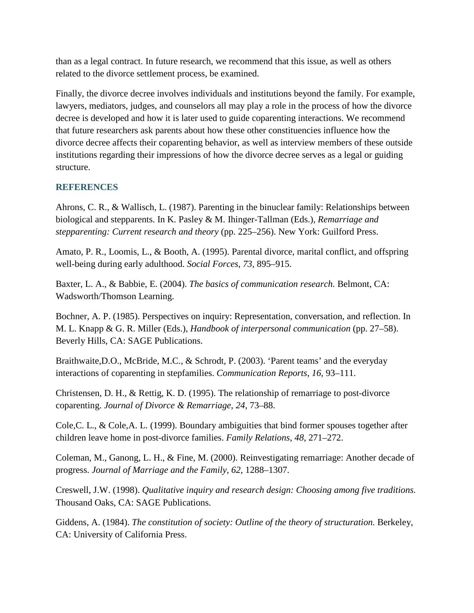than as a legal contract. In future research, we recommend that this issue, as well as others related to the divorce settlement process, be examined.

Finally, the divorce decree involves individuals and institutions beyond the family. For example, lawyers, mediators, judges, and counselors all may play a role in the process of how the divorce decree is developed and how it is later used to guide coparenting interactions. We recommend that future researchers ask parents about how these other constituencies influence how the divorce decree affects their coparenting behavior, as well as interview members of these outside institutions regarding their impressions of how the divorce decree serves as a legal or guiding structure.

### **REFERENCES**

Ahrons, C. R., & Wallisch, L. (1987). Parenting in the binuclear family: Relationships between biological and stepparents. In K. Pasley & M. Ihinger-Tallman (Eds.), *Remarriage and stepparenting: Current research and theory* (pp. 225–256). New York: Guilford Press.

Amato, P. R., Loomis, L., & Booth, A. (1995). Parental divorce, marital conflict, and offspring well-being during early adulthood. *Social Forces*, *73*, 895–915.

Baxter, L. A., & Babbie, E. (2004). *The basics of communication research.* Belmont, CA: Wadsworth/Thomson Learning.

Bochner, A. P. (1985). Perspectives on inquiry: Representation, conversation, and reflection. In M. L. Knapp & G. R. Miller (Eds.), *Handbook of interpersonal communication* (pp. 27–58). Beverly Hills, CA: SAGE Publications.

Braithwaite,D.O., McBride, M.C., & Schrodt, P. (2003). 'Parent teams' and the everyday interactions of coparenting in stepfamilies. *Communication Reports*, *16*, 93–111.

Christensen, D. H., & Rettig, K. D. (1995). The relationship of remarriage to post-divorce coparenting. *Journal of Divorce & Remarriage*, *24*, 73–88.

Cole,C. L., & Cole,A. L. (1999). Boundary ambiguities that bind former spouses together after children leave home in post-divorce families. *Family Relations*, *48*, 271–272.

Coleman, M., Ganong, L. H., & Fine, M. (2000). Reinvestigating remarriage: Another decade of progress. *Journal of Marriage and the Family*, *62*, 1288–1307.

Creswell, J.W. (1998). *Qualitative inquiry and research design: Choosing among five traditions.* Thousand Oaks, CA: SAGE Publications.

Giddens, A. (1984). *The constitution of society: Outline of the theory of structuration*. Berkeley, CA: University of California Press.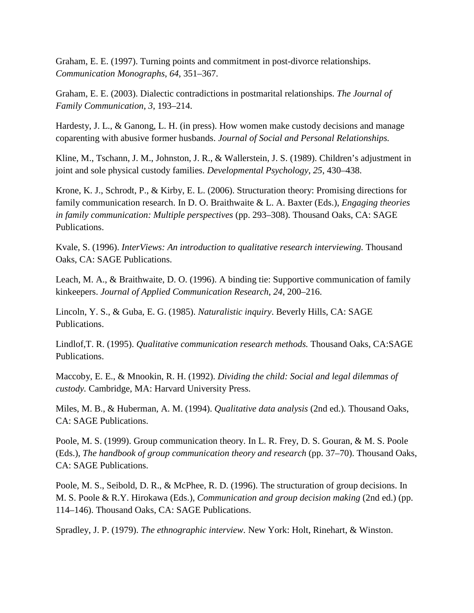Graham, E. E. (1997). Turning points and commitment in post-divorce relationships. *Communication Monographs*, *64*, 351–367.

Graham, E. E. (2003). Dialectic contradictions in postmarital relationships. *The Journal of Family Communication*, *3*, 193–214.

Hardesty, J. L., & Ganong, L. H. (in press). How women make custody decisions and manage coparenting with abusive former husbands. *Journal of Social and Personal Relationships.*

Kline, M., Tschann, J. M., Johnston, J. R., & Wallerstein, J. S. (1989). Children's adjustment in joint and sole physical custody families. *Developmental Psychology*, *25*, 430–438.

Krone, K. J., Schrodt, P., & Kirby, E. L. (2006). Structuration theory: Promising directions for family communication research. In D. O. Braithwaite & L. A. Baxter (Eds.), *Engaging theories in family communication: Multiple perspectives* (pp. 293–308). Thousand Oaks, CA: SAGE Publications.

Kvale, S. (1996). *InterViews: An introduction to qualitative research interviewing.* Thousand Oaks, CA: SAGE Publications.

Leach, M. A., & Braithwaite, D. O. (1996). A binding tie: Supportive communication of family kinkeepers. *Journal of Applied Communication Research*, *24*, 200–216.

Lincoln, Y. S., & Guba, E. G. (1985). *Naturalistic inquiry*. Beverly Hills, CA: SAGE Publications.

Lindlof,T. R. (1995). *Qualitative communication research methods.* Thousand Oaks, CA:SAGE Publications.

Maccoby, E. E., & Mnookin, R. H. (1992). *Dividing the child: Social and legal dilemmas of custody.* Cambridge, MA: Harvard University Press.

Miles, M. B., & Huberman, A. M. (1994). *Qualitative data analysis* (2nd ed.)*.* Thousand Oaks, CA: SAGE Publications.

Poole, M. S. (1999). Group communication theory. In L. R. Frey, D. S. Gouran, & M. S. Poole (Eds.), *The handbook of group communication theory and research* (pp. 37–70). Thousand Oaks, CA: SAGE Publications.

Poole, M. S., Seibold, D. R., & McPhee, R. D. (1996). The structuration of group decisions. In M. S. Poole & R.Y. Hirokawa (Eds.), *Communication and group decision making* (2nd ed.) (pp. 114–146). Thousand Oaks, CA: SAGE Publications.

Spradley, J. P. (1979). *The ethnographic interview.* New York: Holt, Rinehart, & Winston.